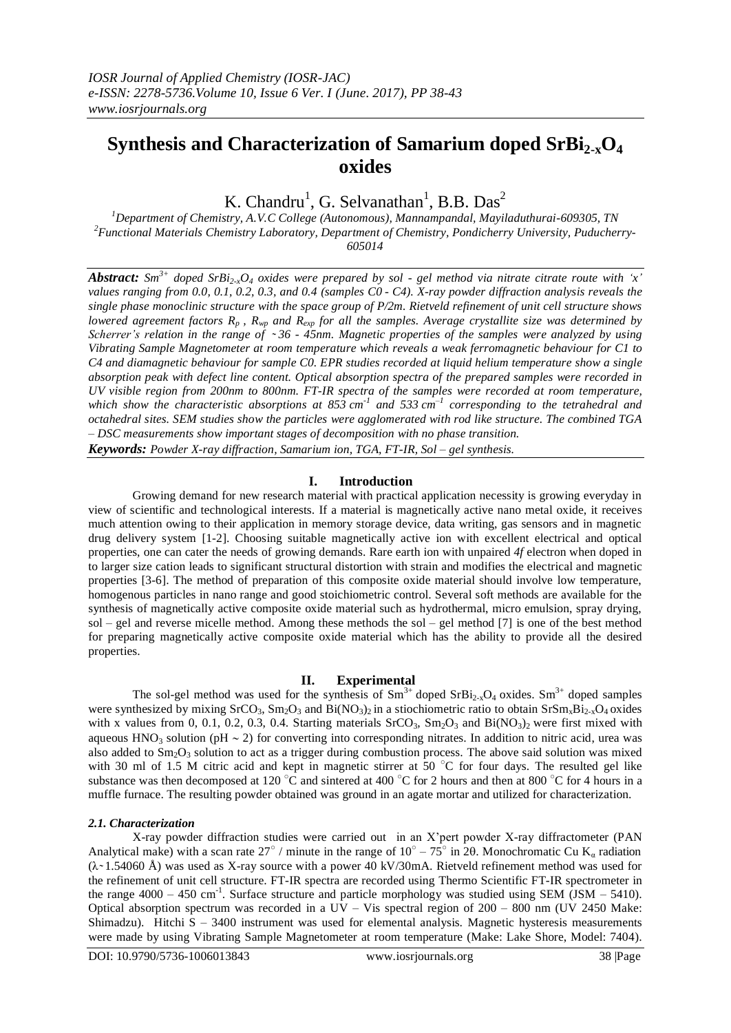# **Synthesis and Characterization of Samarium doped SrBi2-xO<sup>4</sup> oxides**

K. Chandru<sup>1</sup>, G. Selvanathan<sup>1</sup>, B.B. Das<sup>2</sup>

*<sup>1</sup>Department of Chemistry, A.V.C College (Autonomous), Mannampandal, Mayiladuthurai-609305, TN <sup>2</sup>Functional Materials Chemistry Laboratory, Department of Chemistry, Pondicherry University, Puducherry-605014* 

*Abstract:*  $Sm^{3+}$  *doped*  $SrBi_2O_4$  *oxides* were prepared by sol - gel method via nitrate citrate route with 'x' *values ranging from 0.0, 0.1, 0.2, 0.3, and 0.4 (samples C0 - C4). X-ray powder diffraction analysis reveals the single phase monoclinic structure with the space group of P/2m. Rietveld refinement of unit cell structure shows lowered agreement factors R<sup>p</sup> , Rwp and Rexp for all the samples. Average crystallite size was determined by Scherrer's relation in the range of ~36 - 45nm. Magnetic properties of the samples were analyzed by using Vibrating Sample Magnetometer at room temperature which reveals a weak ferromagnetic behaviour for C1 to C4 and diamagnetic behaviour for sample C0. EPR studies recorded at liquid helium temperature show a single absorption peak with defect line content. Optical absorption spectra of the prepared samples were recorded in UV visible region from 200nm to 800nm. FT-IR spectra of the samples were recorded at room temperature, which show the characteristic absorptions at 853 cm -1 and 533 cm –1 corresponding to the tetrahedral and octahedral sites. SEM studies show the particles were agglomerated with rod like structure. The combined TGA – DSC measurements show important stages of decomposition with no phase transition.*

*Keywords: Powder X-ray diffraction, Samarium ion, TGA, FT-IR, Sol – gel synthesis.*

# **I. Introduction**

Growing demand for new research material with practical application necessity is growing everyday in view of scientific and technological interests. If a material is magnetically active nano metal oxide, it receives much attention owing to their application in memory storage device, data writing, gas sensors and in magnetic drug delivery system [1-2]. Choosing suitable magnetically active ion with excellent electrical and optical properties, one can cater the needs of growing demands. Rare earth ion with unpaired *4f* electron when doped in to larger size cation leads to significant structural distortion with strain and modifies the electrical and magnetic properties [3-6]. The method of preparation of this composite oxide material should involve low temperature, homogenous particles in nano range and good stoichiometric control. Several soft methods are available for the synthesis of magnetically active composite oxide material such as hydrothermal, micro emulsion, spray drying, sol – gel and reverse micelle method. Among these methods the sol – gel method  $[7]$  is one of the best method for preparing magnetically active composite oxide material which has the ability to provide all the desired properties.

# **II. Experimental**

The sol-gel method was used for the synthesis of  $Sm^{3+}$  doped  $SrBi_{2-x}O_4$  oxides.  $Sm^{3+}$  doped samples were synthesized by mixing  $SrCO_3$ ,  $Sm_2O_3$  and  $Bi(NO_3)$  in a stiochiometric ratio to obtain  $SrSm_xBi_2$ ,  $O_4$  oxides with x values from 0, 0.1, 0.2, 0.3, 0.4. Starting materials  $SrCO<sub>3</sub>$ ,  $Sm<sub>2</sub>O<sub>3</sub>$  and  $Bi(NO<sub>3</sub>)<sub>2</sub>$  were first mixed with aqueous  $HNO<sub>3</sub>$  solution (pH  $\sim$  2) for converting into corresponding nitrates. In addition to nitric acid, urea was also added to  $Sm_2O_3$  solution to act as a trigger during combustion process. The above said solution was mixed with 30 ml of 1.5 M citric acid and kept in magnetic stirrer at 50  $^{\circ}$ C for four days. The resulted gel like substance was then decomposed at 120 °C and sintered at 400 °C for 2 hours and then at 800 °C for 4 hours in a muffle furnace. The resulting powder obtained was ground in an agate mortar and utilized for characterization.

#### *2.1. Characterization*

X-ray powder diffraction studies were carried out in an X'pert powder X-ray diffractometer (PAN Analytical make) with a scan rate  $27^{\circ}$  / minute in the range of  $10^{\circ} - 75^{\circ}$  in 20. Monochromatic Cu K<sub>a</sub> radiation  $(\lambda \sim 1.54060 \text{ Å})$  was used as X-ray source with a power 40 kV/30mA. Rietveld refinement method was used for the refinement of unit cell structure. FT-IR spectra are recorded using Thermo Scientific FT-IR spectrometer in the range  $4000 - 450$  cm<sup>-1</sup>. Surface structure and particle morphology was studied using SEM (JSM – 5410). Optical absorption spectrum was recorded in a UV – Vis spectral region of 200 – 800 nm (UV 2450 Make: Shimadzu). Hitchi  $S - 3400$  instrument was used for elemental analysis. Magnetic hysteresis measurements were made by using Vibrating Sample Magnetometer at room temperature (Make: Lake Shore, Model: 7404).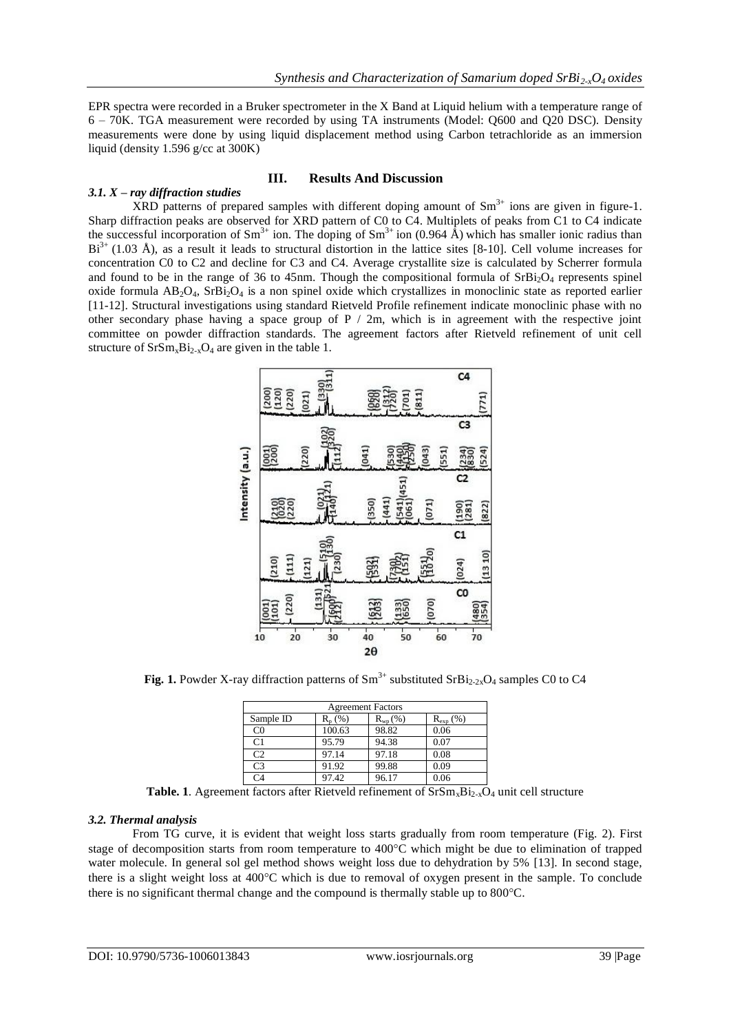EPR spectra were recorded in a Bruker spectrometer in the X Band at Liquid helium with a temperature range of 6 – 70K. TGA measurement were recorded by using TA instruments (Model: Q600 and Q20 DSC). Density measurements were done by using liquid displacement method using Carbon tetrachloride as an immersion liquid (density 1.596 g/cc at 300K)

# **III. Results And Discussion**

# *3.1. X – ray diffraction studies*

 $XRD$  patterns of prepared samples with different doping amount of  $Sm<sup>3+</sup>$  ions are given in figure-1. Sharp diffraction peaks are observed for XRD pattern of C0 to C4. Multiplets of peaks from C1 to C4 indicate the successful incorporation of  $\text{Sm}^{3+}$  ion. The doping of  $\text{Sm}^{3+}$  ion (0.964 Å) which has smaller ionic radius than  $Bi^{3+}$  (1.03 Å), as a result it leads to structural distortion in the lattice sites [8-10]. Cell volume increases for concentration C0 to C2 and decline for C3 and C4. Average crystallite size is calculated by Scherrer formula and found to be in the range of 36 to 45nm. Though the compositional formula of  $SrBi<sub>2</sub>O<sub>4</sub>$  represents spinel oxide formula  $AB_2O_4$ ,  $SrBi_2O_4$  is a non spinel oxide which crystallizes in monoclinic state as reported earlier [11-12]. Structural investigations using standard Rietveld Profile refinement indicate monoclinic phase with no other secondary phase having a space group of  $P / 2m$ , which is in agreement with the respective joint committee on powder diffraction standards. The agreement factors after Rietveld refinement of unit cell structure of  $SrSm_xBi_{2-x}O_4$  are given in the table 1.



**Fig. 1.** Powder X-ray diffraction patterns of  $\text{Sm}^{3+}$  substituted  $\text{SrBi}_{2.2x}O_4$  samples C0 to C4

| <b>Agreement Factors</b> |           |              |                      |  |  |  |
|--------------------------|-----------|--------------|----------------------|--|--|--|
| Sample ID                | $R_n$ (%) | $R_{wn}(\%)$ | $R_{\text{exp}}$ (%) |  |  |  |
| C <sub>0</sub>           | 100.63    | 98.82        | 0.06                 |  |  |  |
| C <sub>1</sub>           | 95.79     | 94.38        | 0.07                 |  |  |  |
| C <sub>2</sub>           | 97.14     | 97.18        | 0.08                 |  |  |  |
| C <sub>3</sub>           | 91.92     | 99.88        | 0.09                 |  |  |  |
| $\mathsf{\Gamma}4$       | 97.42     | 96.17        | 0.06                 |  |  |  |

**Table. 1**. Agreement factors after Rietveld refinement of  $SrSm_xBi_{2x}O_4$  unit cell structure

# *3.2. Thermal analysis*

From TG curve, it is evident that weight loss starts gradually from room temperature (Fig. 2). First stage of decomposition starts from room temperature to 400°C which might be due to elimination of trapped water molecule. In general sol gel method shows weight loss due to dehydration by 5% [13]. In second stage, there is a slight weight loss at 400C which is due to removal of oxygen present in the sample. To conclude there is no significant thermal change and the compound is thermally stable up to  $800^{\circ}$ C.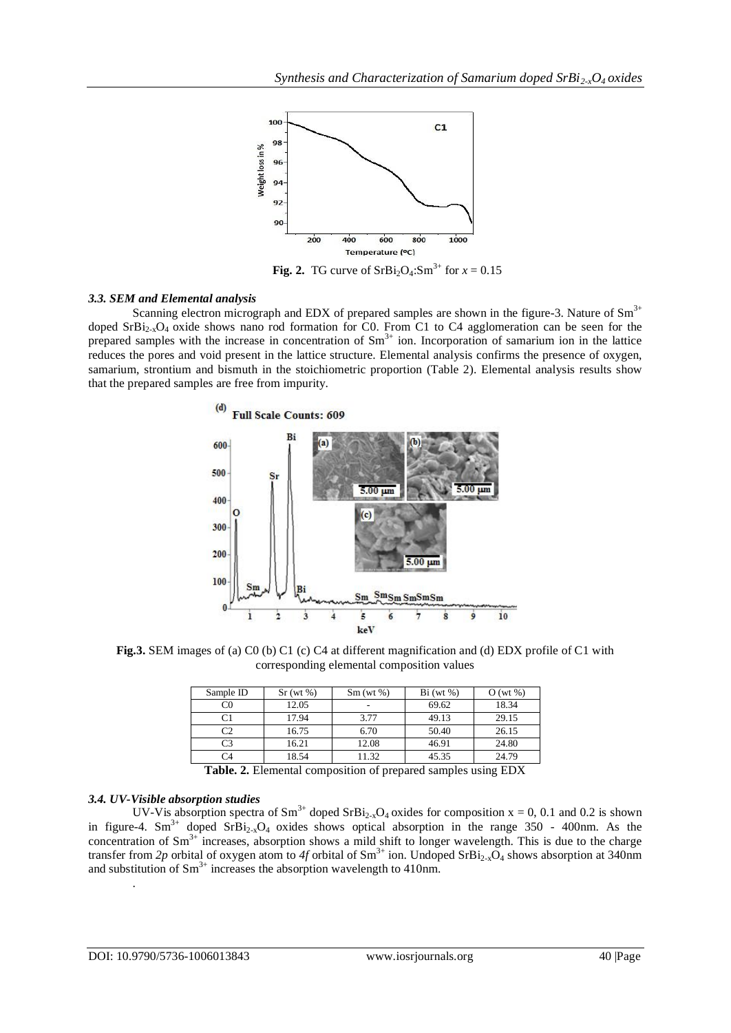

**Fig. 2.** TG curve of  $SrBi<sub>2</sub>O<sub>4</sub>:Sm<sup>3+</sup>$  for  $x = 0.15$ 

#### *3.3. SEM and Elemental analysis*

Scanning electron micrograph and EDX of prepared samples are shown in the figure-3. Nature of  $Sm^{3+}$ doped  $SrBi<sub>2x</sub>O<sub>4</sub>$  oxide shows nano rod formation for C0. From C1 to C4 agglomeration can be seen for the prepared samples with the increase in concentration of  $Sm<sup>3+</sup>$  ion. Incorporation of samarium ion in the lattice reduces the pores and void present in the lattice structure. Elemental analysis confirms the presence of oxygen, samarium, strontium and bismuth in the stoichiometric proportion (Table 2). Elemental analysis results show that the prepared samples are free from impurity.



**Fig.3.** SEM images of (a) C0 (b) C1 (c) C4 at different magnification and (d) EDX profile of C1 with corresponding elemental composition values

| Sample ID      | $Sr$ (wt %) | $Sm$ (wt %) | $Bi(wt\%)$ | $O(wt \%)$ |
|----------------|-------------|-------------|------------|------------|
| C0             | 12.05       | -           | 69.62      | 18.34      |
|                | 17.94       | 3.77        | 49.13      | 29.15      |
| C2             | 16.75       | 6.70        | 50.40      | 26.15      |
| C <sub>3</sub> | 16.21       | 12.08       | 46.91      | 24.80      |
| 74             | 18.54       | 11.32       | 45.35      | 24.79      |

**Table. 2.** Elemental composition of prepared samples using EDX

# *3.4. UV-Visible absorption studies*

UV-Vis absorption spectra of  $\text{Sm}^{3+}$  doped  $\text{SrBi}_{2-x}\text{O}_4$  oxides for composition  $x = 0$ , 0.1 and 0.2 is shown in figure-4. Sm<sup>3+</sup> doped SrBi<sub>2-x</sub>O<sub>4</sub> oxides shows optical absorption in the range 350 - 400nm. As the concentration of  $\text{Sm}^{3+}$  increases, absorption shows a mild shift to longer wavelength. This is due to the charge transfer from 2p orbital of oxygen atom to 4f orbital of  $Sm^{3+}$  ion. Undoped  $SrBi_{2-x}O_4$  shows absorption at 340nm and substitution of  $\text{Sm}^{3+}$  increases the absorption wavelength to 410nm.

.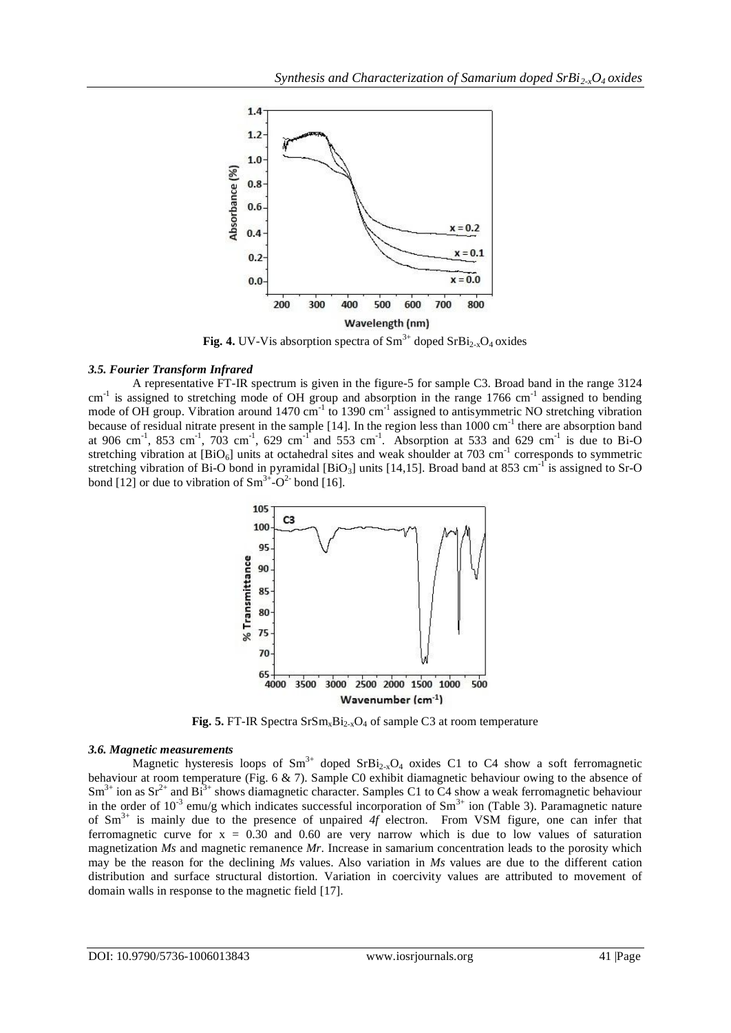

**Fig. 4.** UV-V is absorption spectra of  $\text{Sm}^{3+}$  doped  $\text{SrBi}_{2-x}\text{O}_4$  oxides

# *3.5. Fourier Transform Infrared*

A representative FT-IR spectrum is given in the figure-5 for sample C3. Broad band in the range 3124 cm<sup>-1</sup> is assigned to stretching mode of OH group and absorption in the range 1766 cm<sup>-1</sup> assigned to bending mode of OH group. Vibration around 1470 cm<sup>-1</sup> to 1390 cm<sup>-1</sup> assigned to antisymmetric NO stretching vibration because of residual nitrate present in the sample  $[14]$ . In the region less than  $1000 \text{ cm}^{-1}$  there are absorption band at 906 cm<sup>-1</sup>, 853 cm<sup>-1</sup>, 703 cm<sup>-1</sup>, 629 cm<sup>-1</sup> and 553 cm<sup>-1</sup>. Absorption at 533 and 629 cm<sup>-1</sup> is due to Bi-O stretching vibration at  $[BIO_6]$  units at octahedral sites and weak shoulder at 703 cm<sup>-1</sup> corresponds to symmetric stretching vibration of Bi-O bond in pyramidal [BiO<sub>3</sub>] units [14,15]. Broad band at 853 cm<sup>-1</sup> is assigned to Sr-O bond [12] or due to vibration of  $\text{Sm}^{3+}$ - $\text{O}^{2}$  bond [16].



**Fig. 5.** FT-IR Spectra  $S_rSm_xBi_{2-x}O_4$  of sample C3 at room temperature

#### *3.6. Magnetic measurements*

Magnetic hysteresis loops of  $\text{Sm}^{3+}$  doped  $\text{SrBi}_{2-x}\text{O}_4$  oxides C1 to C4 show a soft ferromagnetic behaviour at room temperature (Fig. 6 & 7). Sample C0 exhibit diamagnetic behaviour owing to the absence of  $Sm^{3+}$  ion as  $Sr^{2+}$  and  $Bi^{3+}$  shows diamagnetic character. Samples C1 to C4 show a weak ferromagnetic behaviour in the order of 10<sup>-3</sup> emu/g which indicates successful incorporation of  $Sm^{3+}$  ion (Table 3). Paramagnetic nature of Sm3+ is mainly due to the presence of unpaired *4f* electron. From VSM figure, one can infer that ferromagnetic curve for  $x = 0.30$  and 0.60 are very narrow which is due to low values of saturation magnetization *Ms* and magnetic remanence *Mr*. Increase in samarium concentration leads to the porosity which may be the reason for the declining *Ms* values. Also variation in *Ms* values are due to the different cation distribution and surface structural distortion. Variation in coercivity values are attributed to movement of domain walls in response to the magnetic field [17].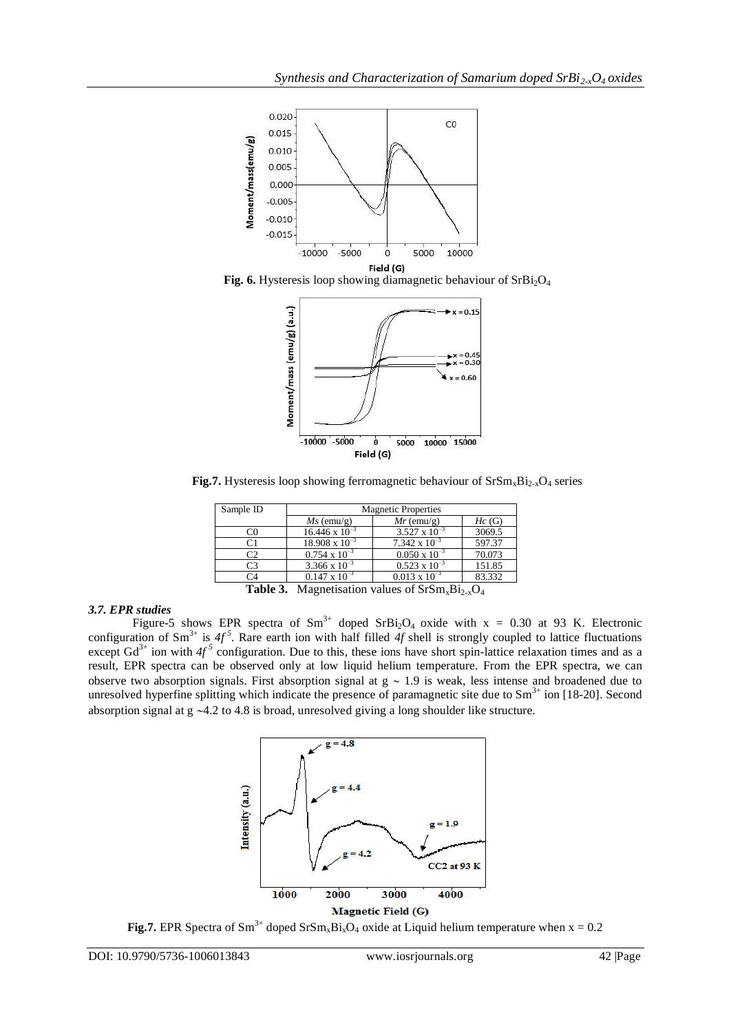





**Fig.7.** Hysteresis loop showing ferromagnetic behaviour of  $SrSm_xBi_{2-x}O_4$  series

| Sample ID | <b>Magnetic Properties</b> |                        |        |  |
|-----------|----------------------------|------------------------|--------|--|
|           | $Ms$ (emu/g)               | $Mr$ (emu/g)           | Hc(G)  |  |
|           | $16.446 \times 10^{-3}$    | $3.527 \times 10^{-3}$ | 3069.5 |  |
|           | $18.908 \times 10^{-3}$    | $7.342 \times 10^{-3}$ | 597.37 |  |
|           | $0.754 \times 10^{-3}$     | $0.050 \times 10^{-3}$ | 70.073 |  |
|           | $3.366 \times 10^{-3}$     | $0.523 \times 10^{-3}$ | 151.85 |  |
|           | $0.147 \times 10^{-3}$     | $0.013 \times 10^{-3}$ | 83.332 |  |

**Table 3.** Magnetisation values of  $SrSm_xBi_{2-x}O_4$ 

# *3.7. EPR studies*

Figure-5 shows EPR spectra of  $Sm^{3+}$  doped  $SrBi<sub>2</sub>O<sub>4</sub>$  oxide with x = 0.30 at 93 K. Electronic configuration of Sm<sup>3+</sup> is  $4f^5$ . Rare earth ion with half filled  $4f$  shell is strongly coupled to lattice fluctuations except  $Gd^{3+}$  ion with  $4f^5$  configuration. Due to this, these ions have short spin-lattice relaxation times and as a result, EPR spectra can be observed only at low liquid helium temperature. From the EPR spectra, we can observe two absorption signals. First absorption signal at  $g \sim 1.9$  is weak, less intense and broadened due to unresolved hyperfine splitting which indicate the presence of paramagnetic site due to  $Sm<sup>3+</sup>$  ion [18-20]. Second absorption signal at  $g \sim 4.2$  to 4.8 is broad, unresolved giving a long shoulder like structure.



**Fig.7.** EPR Spectra of Sm<sup>3+</sup> doped SrSm<sub>x</sub>Bi<sub>x</sub>O<sub>4</sub> oxide at Liquid helium temperature when  $x = 0.2$